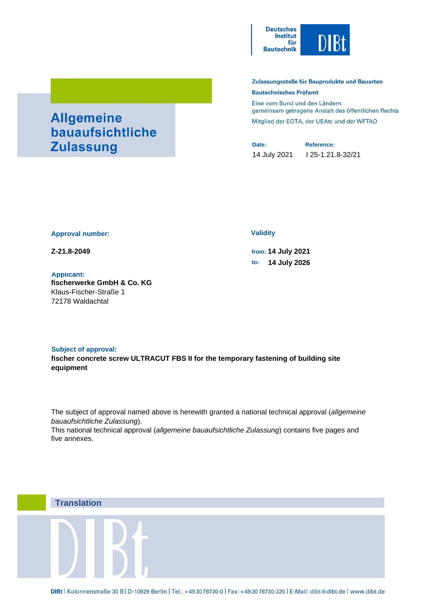

# Zulassungsstelle für Bauprodukte und Bauarten **Bautechnisches Prüfamt**

Eine vom Bund und den Ländern gemeinsam getragene Anstalt des öffentlichen Rechts Mitglied der EOTA, der UEAtc und der WFTAO

**Date: Reference:** 14 July 2021 I 25-1.21.8-32/21

#### **Approval number:**

**Allgemeine** 

**Zulassung** 

bauaufsichtliche

#### **Applicant:**

**fischerwerke GmbH & Co. KG** Klaus-Fischer-Straße 1 72178 Waldachtal

#### **Validity**

**Z-21.8-2049 from: 14 July 2021 to: 14 July 2026**

# **Subject of approval: fischer concrete screw ULTRACUT FBS II for the temporary fastening of building site equipment**

The subject of approval named above is herewith granted a national technical approval (*allgemeine bauaufsichtliche Zulassung*).

This national technical approval (*allgemeine bauaufsichtliche Zulassung*) contains five pages and five annexes.

# **Translation**

DIBt | Kolonnenstraße 30 B | D-10829 Berlin | Tel.: +49 30 78730-0 | Fax: +49 30 78730-320 | E-Mail: dibt@dibt.de | www.dibt.de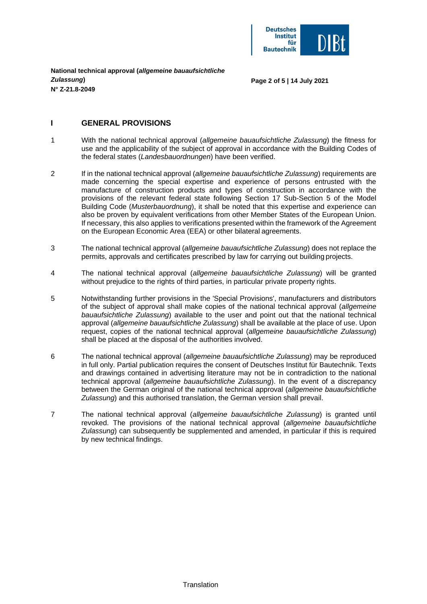

**Page 2 of 5 | 14 July 2021**

# **I GENERAL PROVISIONS**

- 1 With the national technical approval (*allgemeine bauaufsichtliche Zulassung*) the fitness for use and the applicability of the subject of approval in accordance with the Building Codes of the federal states (*Landesbauordnungen*) have been verified.
- 2 If in the national technical approval (*allgemeine bauaufsichtliche Zulassung*) requirements are made concerning the special expertise and experience of persons entrusted with the manufacture of construction products and types of construction in accordance with the provisions of the relevant federal state following Section 17 Sub-Section 5 of the Model Building Code (*Musterbauordnung*), it shall be noted that this expertise and experience can also be proven by equivalent verifications from other Member States of the European Union. If necessary, this also applies to verifications presented within the framework of the Agreement on the European Economic Area (EEA) or other bilateral agreements.
- 3 The national technical approval (*allgemeine bauaufsichtliche Zulassung*) does not replace the permits, approvals and certificates prescribed by law for carrying out building projects.
- 4 The national technical approval (*allgemeine bauaufsichtliche Zulassung*) will be granted without prejudice to the rights of third parties, in particular private property rights.
- 5 Notwithstanding further provisions in the 'Special Provisions', manufacturers and distributors of the subject of approval shall make copies of the national technical approval (*allgemeine bauaufsichtliche Zulassung*) available to the user and point out that the national technical approval (*allgemeine bauaufsichtliche Zulassung*) shall be available at the place of use. Upon request, copies of the national technical approval (*allgemeine bauaufsichtliche Zulassung*) shall be placed at the disposal of the authorities involved.
- 6 The national technical approval (*allgemeine bauaufsichtliche Zulassung*) may be reproduced in full only. Partial publication requires the consent of Deutsches Institut für Bautechnik. Texts and drawings contained in advertising literature may not be in contradiction to the national technical approval (*allgemeine bauaufsichtliche Zulassung*). In the event of a discrepancy between the German original of the national technical approval (*allgemeine bauaufsichtliche Zulassung*) and this authorised translation, the German version shall prevail.
- 7 The national technical approval (*allgemeine bauaufsichtliche Zulassung*) is granted until revoked. The provisions of the national technical approval (*allgemeine bauaufsichtliche Zulassung*) can subsequently be supplemented and amended, in particular if this is required by new technical findings.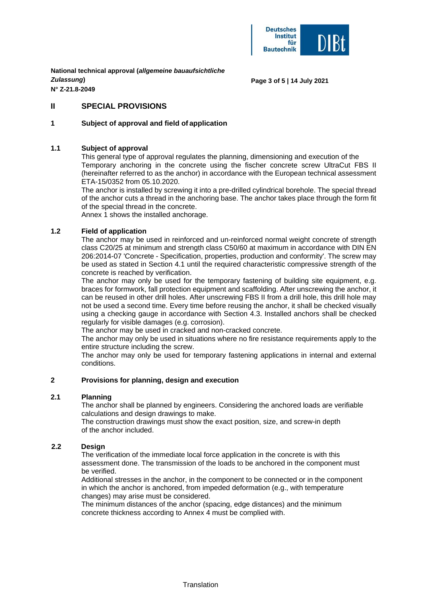

**Page 3 of 5 | 14 July 2021**

# **II SPECIAL PROVISIONS**

# **1 Subject of approval and field of application**

# **1.1 Subject of approval**

This general type of approval regulates the planning, dimensioning and execution of the Temporary anchoring in the concrete using the fischer concrete screw UltraCut FBS II (hereinafter referred to as the anchor) in accordance with the European technical assessment ETA-15/0352 from 05.10.2020.

The anchor is installed by screwing it into a pre-drilled cylindrical borehole. The special thread of the anchor cuts a thread in the anchoring base. The anchor takes place through the form fit of the special thread in the concrete.

Annex 1 shows the installed anchorage.

# **1.2 Field of application**

The anchor may be used in reinforced and un-reinforced normal weight concrete of strength class C20/25 at minimum and strength class C50/60 at maximum in accordance with DIN EN 206:2014-07 'Concrete - Specification, properties, production and conformity'. The screw may be used as stated in Section 4.1 until the required characteristic compressive strength of the concrete is reached by verification.

The anchor may only be used for the temporary fastening of building site equipment, e.g. braces for formwork, fall protection equipment and scaffolding. After unscrewing the anchor, it can be reused in other drill holes. After unscrewing FBS II from a drill hole, this drill hole may not be used a second time. Every time before reusing the anchor, it shall be checked visually using a checking gauge in accordance with Section 4.3. Installed anchors shall be checked regularly for visible damages (e.g. corrosion).

The anchor may be used in cracked and non-cracked concrete.

The anchor may only be used in situations where no fire resistance requirements apply to the entire structure including the screw.

The anchor may only be used for temporary fastening applications in internal and external conditions.

# **2 Provisions for planning, design and execution**

#### **2.1 Planning**

The anchor shall be planned by engineers. Considering the anchored loads are verifiable calculations and design drawings to make.

The construction drawings must show the exact position, size, and screw-in depth of the anchor included.

# **2.2 Design**

The verification of the immediate local force application in the concrete is with this assessment done. The transmission of the loads to be anchored in the component must be verified.

Additional stresses in the anchor, in the component to be connected or in the component in which the anchor is anchored, from impeded deformation (e.g., with temperature changes) may arise must be considered.

The minimum distances of the anchor (spacing, edge distances) and the minimum concrete thickness according to Annex 4 must be complied with.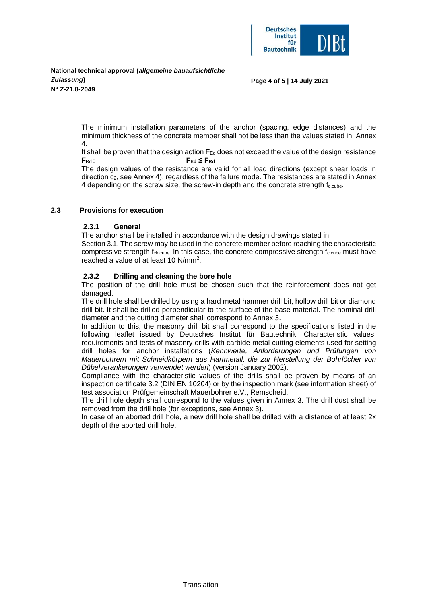

#### **Page 4 of 5 | 14 July 2021**

The minimum installation parameters of the anchor (spacing, edge distances) and the minimum thickness of the concrete member shall not be less than the values stated in Annex 4.

It shall be proven that the design action  $F_{Ed}$  does not exceed the value of the design resistance FRd : **FEd ≤ FRd**

The design values of the resistance are valid for all load directions (except shear loads in direction c<sub>2</sub>, see Annex 4), regardless of the failure mode. The resistances are stated in Annex 4 depending on the screw size, the screw-in depth and the concrete strength  $f_{\text{c,cube}}$ .

# **2.3 Provisions for execution**

# **2.3.1 General**

The anchor shall be installed in accordance with the design drawings stated in

Section 3.1. The screw may be used in the concrete member before reaching the characteristic compressive strength  $f_{ck,cube}$ . In this case, the concrete compressive strength  $f_{c,cube}$  must have reached a value of at least 10 N/mm<sup>2</sup>.

# **2.3.2 Drilling and cleaning the bore hole**

The position of the drill hole must be chosen such that the reinforcement does not get damaged.

The drill hole shall be drilled by using a hard metal hammer drill bit, hollow drill bit or diamond drill bit. It shall be drilled perpendicular to the surface of the base material. The nominal drill diameter and the cutting diameter shall correspond to Annex 3.

In addition to this, the masonry drill bit shall correspond to the specifications listed in the following leaflet issued by Deutsches Institut für Bautechnik: Characteristic values, requirements and tests of masonry drills with carbide metal cutting elements used for setting drill holes for anchor installations (*Kennwerte, Anforderungen und Prüfungen von Mauerbohrern mit Schneidkörpern aus Hartmetall, die zur Herstellung der Bohrlöcher von Dübelverankerungen verwendet werden*) (version January 2002).

Compliance with the characteristic values of the drills shall be proven by means of an inspection certificate 3.2 (DIN EN 10204) or by the inspection mark (see information sheet) of test association Prüfgemeinschaft Mauerbohrer e.V., Remscheid.

The drill hole depth shall correspond to the values given in Annex 3. The drill dust shall be removed from the drill hole (for exceptions, see Annex 3).

In case of an aborted drill hole, a new drill hole shall be drilled with a distance of at least 2x depth of the aborted drill hole.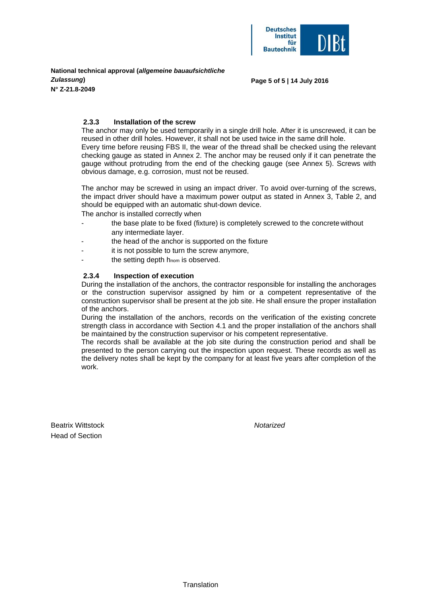

#### **Page 5 of 5 | 14 July 2016**

# **2.3.3 Installation of the screw**

The anchor may only be used temporarily in a single drill hole. After it is unscrewed, it can be reused in other drill holes. However, it shall not be used twice in the same drill hole. Every time before reusing FBS II, the wear of the thread shall be checked using the relevant

checking gauge as stated in Annex 2. The anchor may be reused only if it can penetrate the gauge without protruding from the end of the checking gauge (see Annex 5). Screws with obvious damage, e.g. corrosion, must not be reused.

The anchor may be screwed in using an impact driver. To avoid over-turning of the screws, the impact driver should have a maximum power output as stated in Annex 3, Table 2, and should be equipped with an automatic shut-down device.

The anchor is installed correctly when

- the base plate to be fixed (fixture) is completely screwed to the concrete without any intermediate layer.
- the head of the anchor is supported on the fixture
- it is not possible to turn the screw anymore.
- the setting depth  $h_{nom}$  is observed.

# **2.3.4 Inspection of execution**

During the installation of the anchors, the contractor responsible for installing the anchorages or the construction supervisor assigned by him or a competent representative of the construction supervisor shall be present at the job site. He shall ensure the proper installation of the anchors.

During the installation of the anchors, records on the verification of the existing concrete strength class in accordance with Section 4.1 and the proper installation of the anchors shall be maintained by the construction supervisor or his competent representative.

The records shall be available at the job site during the construction period and shall be presented to the person carrying out the inspection upon request. These records as well as the delivery notes shall be kept by the company for at least five years after completion of the work.

Beatrix Wittstock *Notarized* Head of Section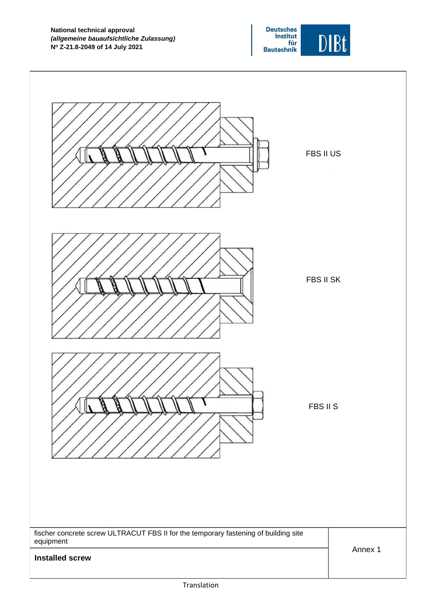

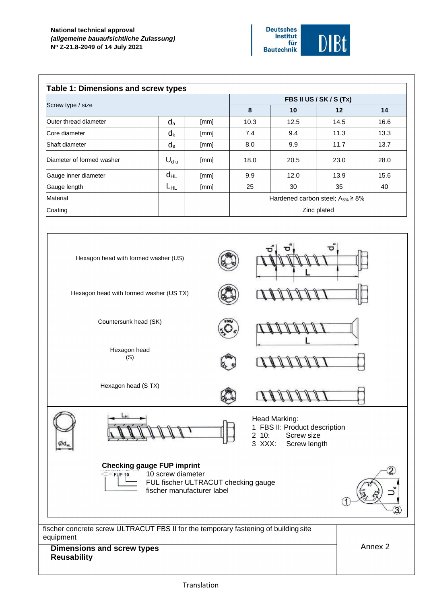# **National technical approval** *(allgemeine bauaufsichtliche Zulassung)* **N<sup>o</sup> Z-21.8-2049 of 14 July 2021**



| <b>Table 1: Dimensions and screw types</b> |           |      |                                          |      |      |      |  |  |  |  |  |
|--------------------------------------------|-----------|------|------------------------------------------|------|------|------|--|--|--|--|--|
|                                            |           |      | FBS II US / SK / S (Tx)                  |      |      |      |  |  |  |  |  |
| Screw type / size                          |           |      | 8                                        | 10   | 12   | 14   |  |  |  |  |  |
| Outer thread diameter                      | $d_{a}$   | [mm] | 10.3                                     | 12.5 | 14.5 | 16.6 |  |  |  |  |  |
| Core diameter                              | $d_{k}$   | [mm] | 7.4                                      | 9.4  | 11.3 | 13.3 |  |  |  |  |  |
| Shaft diameter                             | $d_s$     | [mm] | 8.0                                      | 9.9  | 11.7 | 13.7 |  |  |  |  |  |
| Diameter of formed washer                  | $U_{d,u}$ | [mm] | 18.0                                     | 20.5 | 23.0 | 28.0 |  |  |  |  |  |
| Gauge inner diameter                       | $d_{HL}$  | [mm] | 9.9                                      | 12.0 | 13.9 | 15.6 |  |  |  |  |  |
| Gauge length                               | LHL       | [mm] | 25                                       | 30   | 35   | 40   |  |  |  |  |  |
| Material                                   |           |      | Hardened carbon steel; $A_{5\%} \ge 8\%$ |      |      |      |  |  |  |  |  |
| Coating                                    |           |      | Zinc plated                              |      |      |      |  |  |  |  |  |

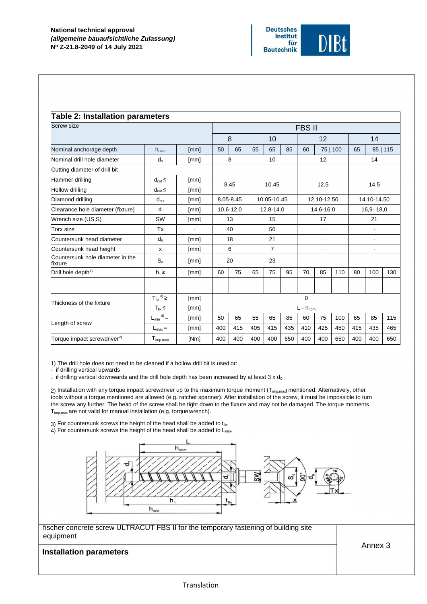

| <b>Screw size</b>                           | FBS II                         |      |               |           |     |                |     |     |             |          |     |                |          |  |  |
|---------------------------------------------|--------------------------------|------|---------------|-----------|-----|----------------|-----|-----|-------------|----------|-----|----------------|----------|--|--|
|                                             |                                |      |               | 8         |     | 10             |     |     | 12          |          |     | 14             |          |  |  |
| Nominal anchorage depth                     | $h_{nom}$                      | [mm] | 50            | 65        | 55  | 65             | 85  | 60  |             | 75   100 | 65  |                | 85   115 |  |  |
| Nominal drill hole diameter                 | $d_0$                          | [mm] |               | 8         |     | 10             |     |     | 12          |          | 14  |                |          |  |  |
| Cutting diameter of drill bit               |                                |      |               |           |     |                |     |     |             |          |     |                |          |  |  |
| Hammer drilling                             | $d_{cut} \leq$                 | [mm] |               | 8.45      |     | 10.45          |     |     | 12.5        |          |     | 14.5           |          |  |  |
| Hollow drilling                             | $d_{cut} \le$                  | [mm] |               |           |     |                |     |     |             |          |     |                |          |  |  |
| Diamond drilling                            | $d_{\text{cut}}$               | [mm] |               | 8.05-8.45 |     | 10.05-10.45    |     |     | 12.10-12.50 |          |     | 14.10-14.50    |          |  |  |
| Clearance hole diameter (fixture)           | $d_f$                          | [mm] |               | 10.6-12.0 |     | 12.8-14.0      |     |     | 14.6-16.0   |          |     | 16,9-18,0      |          |  |  |
| Wrench size (US,S)                          | SW                             | [mm] |               | 13        |     | 15             |     |     | 17          |          |     | 21             |          |  |  |
| Torx size                                   | Tx                             |      |               | 40        |     | 50             |     |     |             |          |     | $\overline{a}$ |          |  |  |
| Countersunk head diameter                   | $d_h$                          | [mm] |               | 18        |     | 21             |     |     |             |          |     |                |          |  |  |
| Countersunk head height                     | x                              | [mm] |               | 6         |     | $\overline{7}$ |     |     |             |          |     |                |          |  |  |
| Countersunk hole diameter in the<br>fixture | $S_{d}$                        | [mm] |               | 20        |     | 23             |     |     |             |          |     | ×              |          |  |  |
| Drill hole depth <sup>1)</sup>              | $h_1 \geq$                     | [mm] | 60            | 75        | 65  | 75             | 95  | 70  | 85          | 110      | 80  | 100            | 130      |  |  |
|                                             |                                |      |               |           |     |                |     |     |             |          |     |                |          |  |  |
|                                             | $T_{\text{fix}}^{3}$ $\geq$    | [mm] | 0             |           |     |                |     |     |             |          |     |                |          |  |  |
| Thickness of the fixture                    | $T_{fix}$                      | [mm] | $L - h_{nom}$ |           |     |                |     |     |             |          |     |                |          |  |  |
|                                             | $^{(4)} =$<br>$L_{\text{min}}$ | [mm] | 50            | 65        | 55  | 65             | 85  | 60  | 75          | 100      | 65  | 85             | 115      |  |  |
| Length of screw                             | $L_{\text{max}} =$             | [mm] | 400           | 415       | 405 | 415            | 435 | 410 | 425         | 450      | 415 | 435            | 465      |  |  |
| Torque impact screwdriver <sup>2}</sup>     | $T_{imp,max}$                  | [Nm] | 400           | 400       | 400 | 400            | 650 | 400 | 400         | 650      | 400 | 400            | 650      |  |  |

1) The drill hole does not need to be cleaned if a hollow drill bit is used or:

- if drilling vertical upwards

- if drilling vertical downwards and the drill hole depth has been increased by at least  $3 \times d_0$ .

2) Installation with any torque impact screwdriver up to the maximum torque moment (Timp,max**)** mentioned. Alternatively, other tools without a torque mentioned are allowed (e.g. ratchet spanner). After installation of the screw, it must be impossible to turn the screw any further. The head of the screw shall be tight down to the fixture and may not be damaged. The torque moments Timp,max are not valid for manual installation (e.g. torque wrench).

3) For countersunk screws the height of the head shall be added to  $t_{fix}$ .

4) For countersunk screws the height of the head shall be added to  $L_{min}$ .



fischer concrete screw ULTRACUT FBS II for the temporary fastening of building site equipment

Annex 3

# **Installation parameters Installation parameters**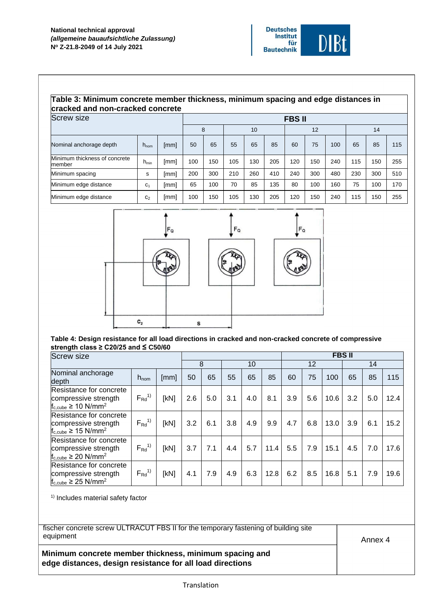

# **Table 3: Minimum concrete member thickness, minimum spacing and edge distances in cracked and non-cracked concrete**

| <b>Screw size</b>                       | <b>FBSII</b>     |      |     |     |     |     |     |     |     |     |     |     |     |
|-----------------------------------------|------------------|------|-----|-----|-----|-----|-----|-----|-----|-----|-----|-----|-----|
|                                         |                  |      |     | 8   | 10  |     |     | 12  |     |     | 14  |     |     |
| Nominal anchorage depth                 | $h_{\text{nom}}$ | [mm] | 50  | 65  | 55  | 65  | 85  | 60  | 75  | 100 | 65  | 85  | 115 |
| Minimum thickness of concrete<br>member | $h_{min}$        | [mm] | 100 | 150 | 105 | 130 | 205 | 120 | 150 | 240 | 115 | 150 | 255 |
| Minimum spacing                         | s                | [mm] | 200 | 300 | 210 | 260 | 410 | 240 | 300 | 480 | 230 | 300 | 510 |
| Minimum edge distance                   | C <sub>1</sub>   | [mm] | 65  | 100 | 70  | 85  | 135 | 80  | 100 | 160 | 75  | 100 | 170 |
| Minimum edge distance                   | C <sub>2</sub>   | [mm] | 100 | 150 | 105 | 130 | 205 | 120 | 150 | 240 | 115 | 150 | 255 |



**Table 4: Design resistance for all load directions in cracked and non-cracked concrete of compressive strength class ≥ C20/25 and ≤ C50/60**

| <b>Screw size</b>                                                                             |                  |      |     |     |     |     |      | <b>FBSII</b> |     |      |     |     |      |  |
|-----------------------------------------------------------------------------------------------|------------------|------|-----|-----|-----|-----|------|--------------|-----|------|-----|-----|------|--|
|                                                                                               |                  |      |     | 8   | 10  |     |      |              | 12  |      | 14  |     |      |  |
| Nominal anchorage<br><b>depth</b>                                                             | $h_{\text{nom}}$ | [mm] | 50  | 65  | 55  | 65  | 85   | 60           | 75  | 100  | 65  | 85  | 115  |  |
| Resistance for concrete<br>compressive strength<br>$f_{c,\text{cube}} \geq 10 \text{ N/mm}^2$ | $F_{Rd}^{1)}$    | [kN] | 2.6 | 5.0 | 3.1 | 4.0 | 8.1  | 3.9          | 5.6 | 10.6 | 3.2 | 5.0 | 12.4 |  |
| Resistance for concrete<br>compressive strength<br>$f_{c, cube} \ge 15$ N/mm <sup>2</sup>     | $F_{Rd}^{1)}$    | [kN] | 3.2 | 6.1 | 3.8 | 4.9 | 9.9  | 4.7          | 6.8 | 13.0 | 3.9 | 6.1 | 15.2 |  |
| Resistance for concrete<br>compressive strength<br>$f_{c, cube} \geq 20$ N/mm <sup>2</sup>    | $F_{Rd}^{1)}$    | [kN] | 3.7 | 7.1 | 4.4 | 5.7 | 11.4 | 5.5          | 7.9 | 15.1 | 4.5 | 7.0 | 17.6 |  |
| Resistance for concrete<br>compressive strength<br>$f_{c, cube} \geq 25$ N/mm <sup>2</sup>    | $F_{Rd}^{1)}$    | [kN] | 4.1 | 7.9 | 4.9 | 6.3 | 12.8 | 6.2          | 8.5 | 16.8 | 5.1 | 7.9 | 19.6 |  |

1) Includes material safety factor

fischer concrete screw ULTRACUT FBS II for the temporary fastening of building site equipment

Annex 4

# **Minimum concrete member thickness, minimum spacing and edge distances, design resistance for all load directions**